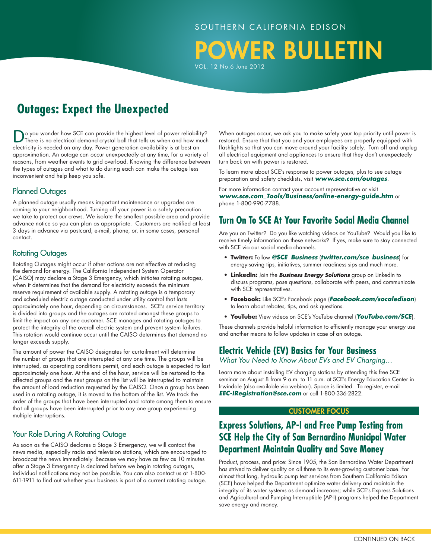### SOUTHERN CALIFORNIA EDISON

POWER BULLETIN

VOL. 12 No.6 June 2012

# **Outages: Expect the Unexpected**

Do you wonder how SCE can provide the highest level of power reliability? There is no electrical demand crystal ball that tells us when and how much electricity is needed on any day. Power generation availability is at best an approximation. An outage can occur unexpectedly at any time, for a variety of reasons, from weather events to grid overload. Knowing the difference between the types of outages and what to do during each can make the outage less inconvenient and help keep you safe.

### Planned Outages

A planned outage usually means important maintenance or upgrades are coming to your neighborhood. Turning off your power is a safety precaution we take to protect our crews. We isolate the smallest possible area and provide advance notice so you can plan as appropriate. Customers are notified at least 3 days in advance via postcard, e-mail, phone, or, in some cases, personal contact.

### Rotating Outages

Rotating Outages might occur if other actions are not effective at reducing the demand for energy. The California Independent System Operator (CAISO) may declare a Stage 3 Emergency, which initiates rotating outages, when it determines that the demand for electricity exceeds the minimum reserve requirement of available supply. A rotating outage is a temporary and scheduled electric outage conducted under utility control that lasts approximately one hour, depending on circumstances. SCE's service territory is divided into groups and the outages are rotated amongst these groups to limit the impact on any one customer. SCE manages and rotating outages to protect the integrity of the overall electric system and prevent system failures. This rotation would continue occur until the CAISO determines that demand no longer exceeds supply.

The amount of power the CAISO designates for curtailment will determine the number of groups that are interrupted at any one time. The groups will be interrupted, as operating conditions permit, and each outage is expected to last approximately one hour. At the end of the hour, service will be restored to the affected groups and the next groups on the list will be interrupted to maintain the amount of load reduction requested by the CAISO. Once a group has been used in a rotating outage, it is moved to the bottom of the list. We track the order of the groups that have been interrupted and rotate among them to ensure that all groups have been interrupted prior to any one group experiencing multiple interruptions.

### Your Role During A Rotating Outage

As soon as the CAISO declares a Stage 3 Emergency, we will contact the news media, especially radio and television stations, which are encouraged to broadcast the news immediately. Because we may have as few as 10 minutes after a Stage 3 Emergency is declared before we begin rotating outages, individual notifications may not be possible. You can also contact us at 1-800- 611-1911 to find out whether your business is part of a current rotating outage.

When outages occur, we ask you to make safety your top priority until power is restored. Ensure that that you and your employees are properly equipped with flashlights so that you can move around your facility safely. Turn off and unplug all electrical equipment and appliances to ensure that they don't unexpectedly turn back on with power is restored.

To learn more about SCE's response to power outages, plus to see outage preparation and safety checklists, visit *www.sce.com/outages*.

For more information contact your account representative or visit *www.sce.com\_Tools/Business/online-energy-guide.htm* or phone 1-800-990-7788.

## **Turn On To SCE At Your Favorite Social Media Channel**

Are you on Twitter? Do you like watching videos on YouTube? Would you like to receive timely information on these networks? If yes, make sure to stay connected with SCE via our social media channels.

- **Twitter:** Follow *@SCE\_Business* (*twitter.com/sce\_business*) for energy-saving tips, initiatives, summer readiness sips and much more.
- **LinkedIn:** Join the *Business Energy Solutions* group on LinkedIn to discuss programs, pose questions, collaborate with peers, and communicate with SCE representatives.
- **Facebook:** Like SCE's Facebook page (*Facebook.com/socaledison*) to learn about rebates, tips, and ask questions.
- **YouTube:** View videos on SCE's YouTube channel (*YouTube.com/SCE*).

These channels provide helpful information to efficiently manage your energy use and another means to follow updates in case of an outage.

### **Electric Vehicle (EV) Basics for Your Business**

*What You Need to Know About EVs and EV Charging…*

Learn more about installing EV charging stations by attending this free SCE seminar on August 8 from 9 a.m. to 11 a.m. at SCE's Energy Education Center in Irwindale (also available via webinar). Space is limited. To register, e-mail *EEC-IRegistration@sce.com* or call 1-800-336-2822.

#### CUSTOMER Focus

## **Express Solutions, AP-I and Free Pump Testing from SCE Help the City of San Bernardino Municipal Water Department Maintain Quality and Save Money**

Product, process, and price: Since 1905, the San Bernardino Water Department has strived to deliver quality on all three to its ever-growing customer base. For almost that long, hydraulic pump test services from Southern California Edison (SCE) have helped the Department optimize water delivery and maintain the integrity of its water systems as demand increases; while SCE's Express Solutions and Agricultural and Pumping Interruptible (AP-I) programs helped the Department save energy and money.